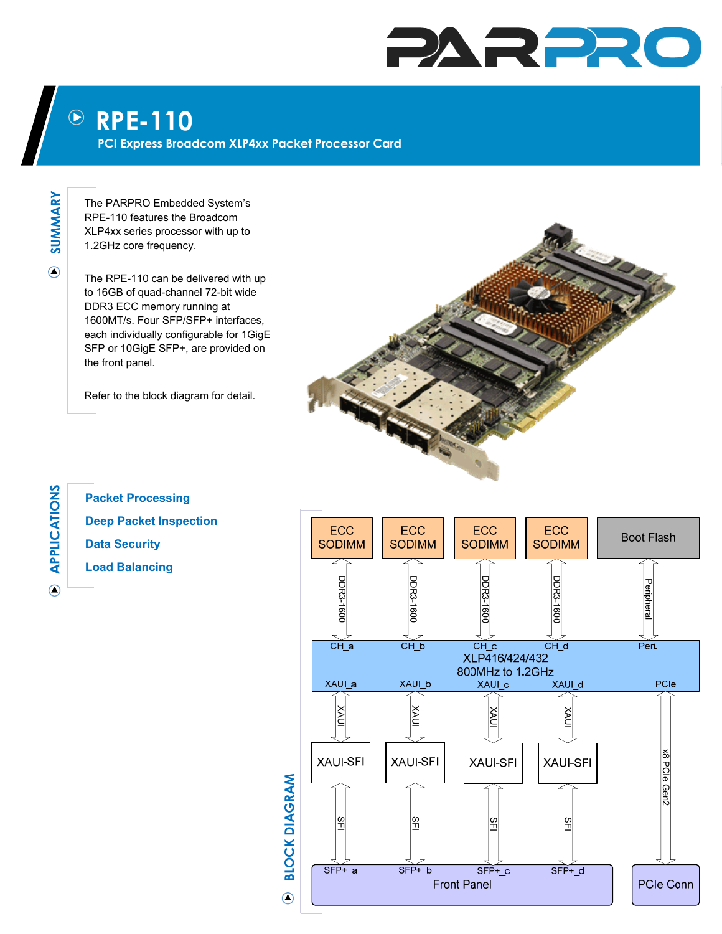## PARPRO

## **RPE-110**   $\left(\!\!\left.\rule{0pt}{12pt}\right)\!\!\right)$

**PCI Express Broadcom XLP4xx Packet Processor Card** 

**SUMMARY**  SUMMARY

 $\odot$ 

**A**

 $\odot$ 

**PPLICATIONS**

The PARPRO Embedded System's RPE-110 features the Broadcom XLP4xx series processor with up to 1.2GHz core frequency.

The RPE-110 can be delivered with up to 16GB of quad-channel 72-bit wide DDR3 ECC memory running at 1600MT/s. Four SFP/SFP+ interfaces, each individually configurable for 1GigE SFP or 10GigE SFP+, are provided on the front panel.

Refer to the block diagram for detail.



**Packet Processing Deep Packet Inspection Data Security Load Balancing** 



**BLOCK DIAGRAM BLOCK DIAGRAM**  $\bigcirc$